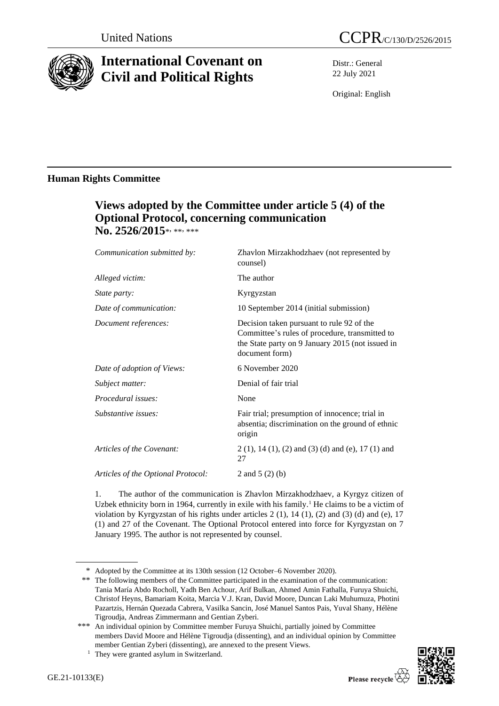

# **International Covenant on Civil and Political Rights**

Distr.: General 22 July 2021

Original: English

### **Human Rights Committee**

## **Views adopted by the Committee under article 5 (4) of the Optional Protocol, concerning communication**  No. 2526/2015\*<sub>\*\*\*\*\*\*</sub>

| Communication submitted by:        | Zhavlon Mirzakhodzhaev (not represented by<br>counsel)                                                                                                            |
|------------------------------------|-------------------------------------------------------------------------------------------------------------------------------------------------------------------|
| Alleged victim:                    | The author                                                                                                                                                        |
| <i>State party:</i>                | Kyrgyzstan                                                                                                                                                        |
| Date of communication:             | 10 September 2014 (initial submission)                                                                                                                            |
| Document references:               | Decision taken pursuant to rule 92 of the<br>Committee's rules of procedure, transmitted to<br>the State party on 9 January 2015 (not issued in<br>document form) |
| Date of adoption of Views:         | 6 November 2020                                                                                                                                                   |
| Subject matter:                    | Denial of fair trial                                                                                                                                              |
| Procedural issues:                 | None                                                                                                                                                              |
| Substantive issues:                | Fair trial; presumption of innocence; trial in<br>absentia; discrimination on the ground of ethnic<br>origin                                                      |
| Articles of the Covenant:          | $2(1)$ , 14 (1), (2) and (3) (d) and (e), 17 (1) and<br>27                                                                                                        |
| Articles of the Optional Protocol: | 2 and $5(2)(b)$                                                                                                                                                   |

1. The author of the communication is Zhavlon Mirzakhodzhaev, a Kyrgyz citizen of Uzbek ethnicity born in 1964, currently in exile with his family.<sup>1</sup> He claims to be a victim of violation by Kyrgyzstan of his rights under articles  $2(1)$ ,  $14(1)$ ,  $(2)$  and  $(3)$   $(d)$  and  $(e)$ ,  $17$ (1) and 27 of the Covenant. The Optional Protocol entered into force for Kyrgyzstan on 7 January 1995. The author is not represented by counsel.

<sup>\*</sup> Adopted by the Committee at its 130th session (12 October–6 November 2020).

<sup>\*\*</sup> The following members of the Committee participated in the examination of the communication: Tania María Abdo Rocholl, Yadh Ben Achour, Arif Bulkan, Ahmed Amin Fathalla, Furuya Shuichi, Christof Heyns, Bamariam Koita, Marcia V.J. Kran, David Moore, Duncan Laki Muhumuza, Photini Pazartzis, Hernán Quezada Cabrera, Vasilka Sancin, José Manuel Santos Pais, Yuval Shany, Hélène Tigroudja, Andreas Zimmermann and Gentian Zyberi.

<sup>\*\*\*</sup> An individual opinion by Committee member Furuya Shuichi, partially joined by Committee members David Moore and Hélène Tigroudja (dissenting), and an individual opinion by Committee member Gentian Zyberi (dissenting), are annexed to the present Views.

<sup>&</sup>lt;sup>1</sup> They were granted asylum in Switzerland.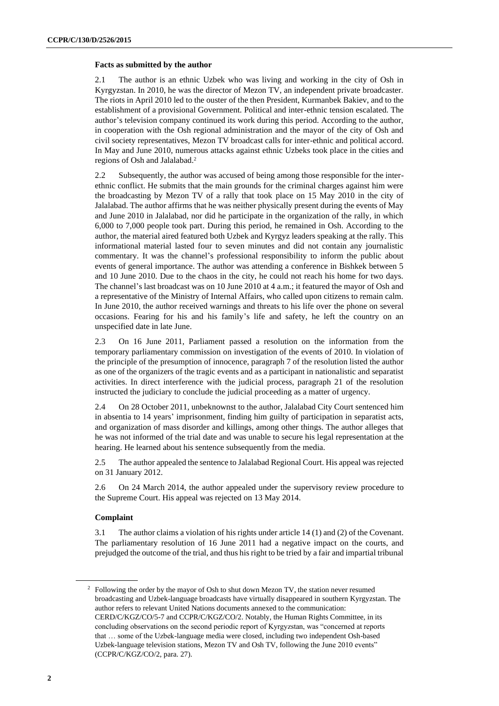#### **Facts as submitted by the author**

2.1 The author is an ethnic Uzbek who was living and working in the city of Osh in Kyrgyzstan. In 2010, he was the director of Mezon TV, an independent private broadcaster. The riots in April 2010 led to the ouster of the then President, Kurmanbek Bakiev, and to the establishment of a provisional Government. Political and inter-ethnic tension escalated. The author's television company continued its work during this period. According to the author, in cooperation with the Osh regional administration and the mayor of the city of Osh and civil society representatives, Mezon TV broadcast calls for inter-ethnic and political accord. In May and June 2010, numerous attacks against ethnic Uzbeks took place in the cities and regions of Osh and Jalalabad.<sup>2</sup>

2.2 Subsequently, the author was accused of being among those responsible for the interethnic conflict. He submits that the main grounds for the criminal charges against him were the broadcasting by Mezon TV of a rally that took place on 15 May 2010 in the city of Jalalabad. The author affirms that he was neither physically present during the events of May and June 2010 in Jalalabad, nor did he participate in the organization of the rally, in which 6,000 to 7,000 people took part. During this period, he remained in Osh. According to the author, the material aired featured both Uzbek and Kyrgyz leaders speaking at the rally. This informational material lasted four to seven minutes and did not contain any journalistic commentary. It was the channel's professional responsibility to inform the public about events of general importance. The author was attending a conference in Bishkek between 5 and 10 June 2010. Due to the chaos in the city, he could not reach his home for two days. The channel's last broadcast was on 10 June 2010 at 4 a.m.; it featured the mayor of Osh and a representative of the Ministry of Internal Affairs, who called upon citizens to remain calm. In June 2010, the author received warnings and threats to his life over the phone on several occasions. Fearing for his and his family's life and safety, he left the country on an unspecified date in late June.

2.3 On 16 June 2011, Parliament passed a resolution on the information from the temporary parliamentary commission on investigation of the events of 2010. In violation of the principle of the presumption of innocence, paragraph 7 of the resolution listed the author as one of the organizers of the tragic events and as a participant in nationalistic and separatist activities. In direct interference with the judicial process, paragraph 21 of the resolution instructed the judiciary to conclude the judicial proceeding as a matter of urgency.

2.4 On 28 October 2011, unbeknownst to the author, Jalalabad City Court sentenced him in absentia to 14 years' imprisonment, finding him guilty of participation in separatist acts, and organization of mass disorder and killings, among other things. The author alleges that he was not informed of the trial date and was unable to secure his legal representation at the hearing. He learned about his sentence subsequently from the media.

2.5 The author appealed the sentence to Jalalabad Regional Court. His appeal was rejected on 31 January 2012.

2.6 On 24 March 2014, the author appealed under the supervisory review procedure to the Supreme Court. His appeal was rejected on 13 May 2014.

#### **Complaint**

3.1 The author claims a violation of his rights under article 14 (1) and (2) of the Covenant. The parliamentary resolution of 16 June 2011 had a negative impact on the courts, and prejudged the outcome of the trial, and thus his right to be tried by a fair and impartial tribunal

<sup>&</sup>lt;sup>2</sup> Following the order by the mayor of Osh to shut down Mezon TV, the station never resumed broadcasting and Uzbek-language broadcasts have virtually disappeared in southern Kyrgyzstan. The author refers to relevant United Nations documents annexed to the communication: CERD/C/KGZ/CO/5-7 and CCPR/C/KGZ/CO/2. Notably, the Human Rights Committee, in its concluding observations on the second periodic report of Kyrgyzstan, was "concerned at reports that … some of the Uzbek-language media were closed, including two independent Osh-based Uzbek-language television stations, Mezon TV and Osh TV, following the June 2010 events" (CCPR/C/KGZ/CO/2, para. 27).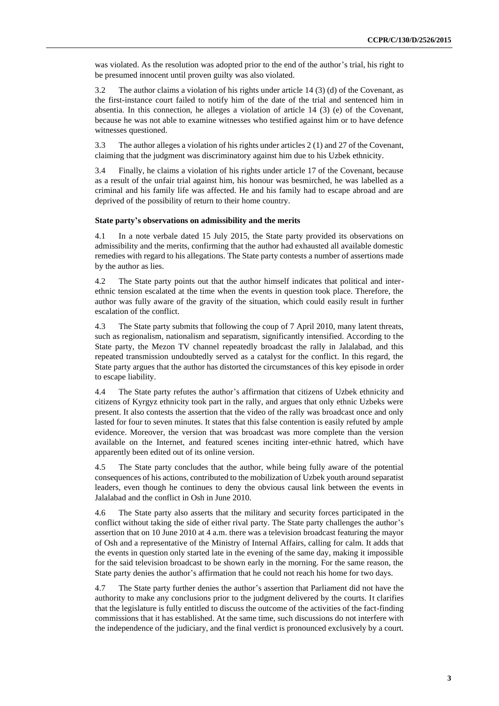was violated. As the resolution was adopted prior to the end of the author's trial, his right to be presumed innocent until proven guilty was also violated.

3.2 The author claims a violation of his rights under article 14 (3) (d) of the Covenant, as the first-instance court failed to notify him of the date of the trial and sentenced him in absentia. In this connection, he alleges a violation of article 14 (3) (e) of the Covenant, because he was not able to examine witnesses who testified against him or to have defence witnesses questioned.

3.3 The author alleges a violation of his rights under articles 2 (1) and 27 of the Covenant, claiming that the judgment was discriminatory against him due to his Uzbek ethnicity.

3.4 Finally, he claims a violation of his rights under article 17 of the Covenant, because as a result of the unfair trial against him, his honour was besmirched, he was labelled as a criminal and his family life was affected. He and his family had to escape abroad and are deprived of the possibility of return to their home country.

#### **State party's observations on admissibility and the merits**

4.1 In a note verbale dated 15 July 2015, the State party provided its observations on admissibility and the merits, confirming that the author had exhausted all available domestic remedies with regard to his allegations. The State party contests a number of assertions made by the author as lies.

4.2 The State party points out that the author himself indicates that political and interethnic tension escalated at the time when the events in question took place. Therefore, the author was fully aware of the gravity of the situation, which could easily result in further escalation of the conflict.

4.3 The State party submits that following the coup of 7 April 2010, many latent threats, such as regionalism, nationalism and separatism, significantly intensified. According to the State party, the Mezon TV channel repeatedly broadcast the rally in Jalalabad, and this repeated transmission undoubtedly served as a catalyst for the conflict. In this regard, the State party argues that the author has distorted the circumstances of this key episode in order to escape liability.

4.4 The State party refutes the author's affirmation that citizens of Uzbek ethnicity and citizens of Kyrgyz ethnicity took part in the rally, and argues that only ethnic Uzbeks were present. It also contests the assertion that the video of the rally was broadcast once and only lasted for four to seven minutes. It states that this false contention is easily refuted by ample evidence. Moreover, the version that was broadcast was more complete than the version available on the Internet, and featured scenes inciting inter-ethnic hatred, which have apparently been edited out of its online version.

4.5 The State party concludes that the author, while being fully aware of the potential consequences of his actions, contributed to the mobilization of Uzbek youth around separatist leaders, even though he continues to deny the obvious causal link between the events in Jalalabad and the conflict in Osh in June 2010.

4.6 The State party also asserts that the military and security forces participated in the conflict without taking the side of either rival party. The State party challenges the author's assertion that on 10 June 2010 at 4 a.m. there was a television broadcast featuring the mayor of Osh and a representative of the Ministry of Internal Affairs, calling for calm. It adds that the events in question only started late in the evening of the same day, making it impossible for the said television broadcast to be shown early in the morning. For the same reason, the State party denies the author's affirmation that he could not reach his home for two days.

4.7 The State party further denies the author's assertion that Parliament did not have the authority to make any conclusions prior to the judgment delivered by the courts. It clarifies that the legislature is fully entitled to discuss the outcome of the activities of the fact-finding commissions that it has established. At the same time, such discussions do not interfere with the independence of the judiciary, and the final verdict is pronounced exclusively by a court.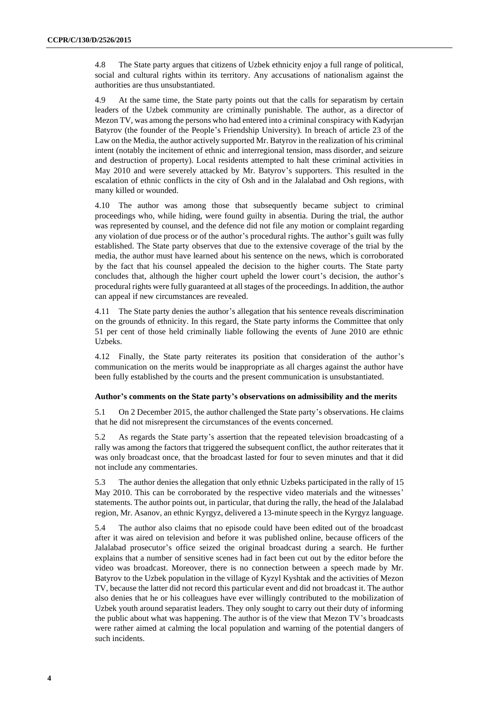4.8 The State party argues that citizens of Uzbek ethnicity enjoy a full range of political, social and cultural rights within its territory. Any accusations of nationalism against the authorities are thus unsubstantiated.

4.9 At the same time, the State party points out that the calls for separatism by certain leaders of the Uzbek community are criminally punishable. The author, as a director of Mezon TV, was among the persons who had entered into a criminal conspiracy with Kadyrjan Batyrov (the founder of the People's Friendship University). In breach of article 23 of the Law on the Media, the author actively supported Mr. Batyrov in the realization of his criminal intent (notably the incitement of ethnic and interregional tension, mass disorder, and seizure and destruction of property). Local residents attempted to halt these criminal activities in May 2010 and were severely attacked by Mr. Batyrov's supporters. This resulted in the escalation of ethnic conflicts in the city of Osh and in the Jalalabad and Osh regions, with many killed or wounded.

4.10 The author was among those that subsequently became subject to criminal proceedings who, while hiding, were found guilty in absentia. During the trial, the author was represented by counsel, and the defence did not file any motion or complaint regarding any violation of due process or of the author's procedural rights. The author's guilt was fully established. The State party observes that due to the extensive coverage of the trial by the media, the author must have learned about his sentence on the news, which is corroborated by the fact that his counsel appealed the decision to the higher courts. The State party concludes that, although the higher court upheld the lower court's decision, the author's procedural rights were fully guaranteed at all stages of the proceedings. In addition, the author can appeal if new circumstances are revealed.

4.11 The State party denies the author's allegation that his sentence reveals discrimination on the grounds of ethnicity. In this regard, the State party informs the Committee that only 51 per cent of those held criminally liable following the events of June 2010 are ethnic Uzbeks.

4.12 Finally, the State party reiterates its position that consideration of the author's communication on the merits would be inappropriate as all charges against the author have been fully established by the courts and the present communication is unsubstantiated.

#### **Author's comments on the State party's observations on admissibility and the merits**

5.1 On 2 December 2015, the author challenged the State party's observations. He claims that he did not misrepresent the circumstances of the events concerned.

5.2 As regards the State party's assertion that the repeated television broadcasting of a rally was among the factors that triggered the subsequent conflict, the author reiterates that it was only broadcast once, that the broadcast lasted for four to seven minutes and that it did not include any commentaries.

5.3 The author denies the allegation that only ethnic Uzbeks participated in the rally of 15 May 2010. This can be corroborated by the respective video materials and the witnesses' statements. The author points out, in particular, that during the rally, the head of the Jalalabad region, Mr. Asanov, an ethnic Kyrgyz, delivered a 13-minute speech in the Kyrgyz language.

5.4 The author also claims that no episode could have been edited out of the broadcast after it was aired on television and before it was published online, because officers of the Jalalabad prosecutor's office seized the original broadcast during a search. He further explains that a number of sensitive scenes had in fact been cut out by the editor before the video was broadcast. Moreover, there is no connection between a speech made by Mr. Batyrov to the Uzbek population in the village of Kyzyl Kyshtak and the activities of Mezon TV, because the latter did not record this particular event and did not broadcast it. The author also denies that he or his colleagues have ever willingly contributed to the mobilization of Uzbek youth around separatist leaders. They only sought to carry out their duty of informing the public about what was happening. The author is of the view that Mezon TV's broadcasts were rather aimed at calming the local population and warning of the potential dangers of such incidents.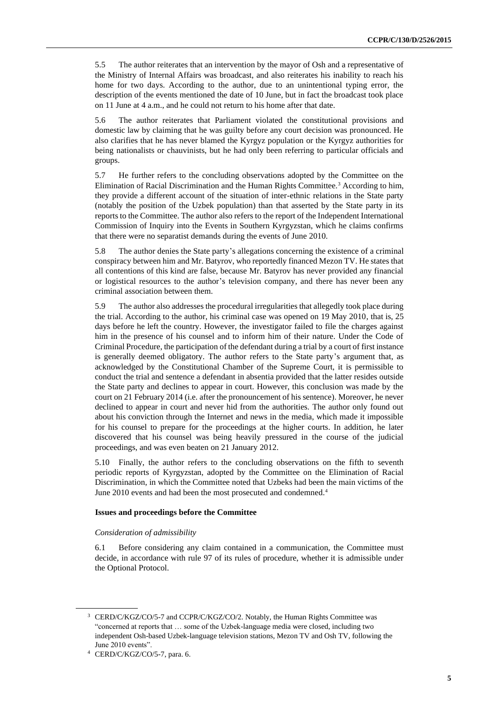5.5 The author reiterates that an intervention by the mayor of Osh and a representative of the Ministry of Internal Affairs was broadcast, and also reiterates his inability to reach his home for two days. According to the author, due to an unintentional typing error, the description of the events mentioned the date of 10 June, but in fact the broadcast took place on 11 June at 4 a.m., and he could not return to his home after that date.

5.6 The author reiterates that Parliament violated the constitutional provisions and domestic law by claiming that he was guilty before any court decision was pronounced. He also clarifies that he has never blamed the Kyrgyz population or the Kyrgyz authorities for being nationalists or chauvinists, but he had only been referring to particular officials and groups.

5.7 He further refers to the concluding observations adopted by the Committee on the Elimination of Racial Discrimination and the Human Rights Committee.<sup>3</sup> According to him, they provide a different account of the situation of inter-ethnic relations in the State party (notably the position of the Uzbek population) than that asserted by the State party in its reports to the Committee. The author also refers to the report of the Independent International Commission of Inquiry into the Events in Southern Kyrgyzstan, which he claims confirms that there were no separatist demands during the events of June 2010.

5.8 The author denies the State party's allegations concerning the existence of a criminal conspiracy between him and Mr. Batyrov, who reportedly financed Mezon TV. He states that all contentions of this kind are false, because Mr. Batyrov has never provided any financial or logistical resources to the author's television company, and there has never been any criminal association between them.

5.9 The author also addresses the procedural irregularities that allegedly took place during the trial. According to the author, his criminal case was opened on 19 May 2010, that is, 25 days before he left the country. However, the investigator failed to file the charges against him in the presence of his counsel and to inform him of their nature. Under the Code of Criminal Procedure, the participation of the defendant during a trial by a court of first instance is generally deemed obligatory. The author refers to the State party's argument that, as acknowledged by the Constitutional Chamber of the Supreme Court, it is permissible to conduct the trial and sentence a defendant in absentia provided that the latter resides outside the State party and declines to appear in court. However, this conclusion was made by the court on 21 February 2014 (i.e. after the pronouncement of his sentence). Moreover, he never declined to appear in court and never hid from the authorities. The author only found out about his conviction through the Internet and news in the media, which made it impossible for his counsel to prepare for the proceedings at the higher courts. In addition, he later discovered that his counsel was being heavily pressured in the course of the judicial proceedings, and was even beaten on 21 January 2012.

5.10 Finally, the author refers to the concluding observations on the fifth to seventh periodic reports of Kyrgyzstan, adopted by the Committee on the Elimination of Racial Discrimination, in which the Committee noted that Uzbeks had been the main victims of the June 2010 events and had been the most prosecuted and condemned.<sup>4</sup>

#### **Issues and proceedings before the Committee**

#### *Consideration of admissibility*

6.1 Before considering any claim contained in a communication, the Committee must decide, in accordance with rule 97 of its rules of procedure, whether it is admissible under the Optional Protocol.

<sup>&</sup>lt;sup>3</sup> CERD/C/KGZ/CO/5-7 and CCPR/C/KGZ/CO/2. Notably, the Human Rights Committee was "concerned at reports that … some of the Uzbek-language media were closed, including two independent Osh-based Uzbek-language television stations, Mezon TV and Osh TV, following the June 2010 events".

<sup>4</sup> CERD/C/KGZ/CO/5-7, para. 6.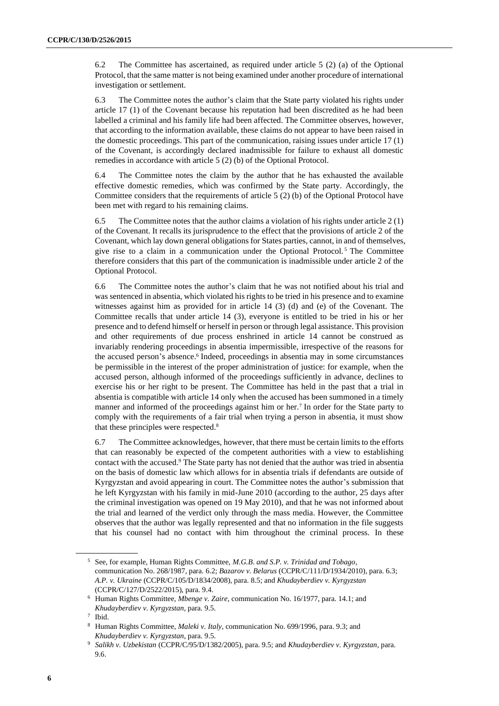6.2 The Committee has ascertained, as required under article 5 (2) (a) of the Optional Protocol, that the same matter is not being examined under another procedure of international investigation or settlement.

6.3 The Committee notes the author's claim that the State party violated his rights under article 17 (1) of the Covenant because his reputation had been discredited as he had been labelled a criminal and his family life had been affected. The Committee observes, however, that according to the information available, these claims do not appear to have been raised in the domestic proceedings. This part of the communication, raising issues under article 17 (1) of the Covenant, is accordingly declared inadmissible for failure to exhaust all domestic remedies in accordance with article 5 (2) (b) of the Optional Protocol.

6.4 The Committee notes the claim by the author that he has exhausted the available effective domestic remedies, which was confirmed by the State party. Accordingly, the Committee considers that the requirements of article 5 (2) (b) of the Optional Protocol have been met with regard to his remaining claims.

6.5 The Committee notes that the author claims a violation of his rights under article  $2(1)$ of the Covenant. It recalls its jurisprudence to the effect that the provisions of article 2 of the Covenant, which lay down general obligations for States parties, cannot, in and of themselves, give rise to a claim in a communication under the Optional Protocol. <sup>5</sup> The Committee therefore considers that this part of the communication is inadmissible under article 2 of the Optional Protocol.

6.6 The Committee notes the author's claim that he was not notified about his trial and was sentenced in absentia, which violated his rights to be tried in his presence and to examine witnesses against him as provided for in article 14 (3) (d) and (e) of the Covenant. The Committee recalls that under article 14 (3), everyone is entitled to be tried in his or her presence and to defend himself or herself in person or through legal assistance. This provision and other requirements of due process enshrined in article 14 cannot be construed as invariably rendering proceedings in absentia impermissible, irrespective of the reasons for the accused person's absence.<sup>6</sup> Indeed, proceedings in absentia may in some circumstances be permissible in the interest of the proper administration of justice: for example, when the accused person, although informed of the proceedings sufficiently in advance, declines to exercise his or her right to be present. The Committee has held in the past that a trial in absentia is compatible with article 14 only when the accused has been summoned in a timely manner and informed of the proceedings against him or her.<sup>7</sup> In order for the State party to comply with the requirements of a fair trial when trying a person in absentia, it must show that these principles were respected.<sup>8</sup>

6.7 The Committee acknowledges, however, that there must be certain limits to the efforts that can reasonably be expected of the competent authorities with a view to establishing contact with the accused.<sup>9</sup> The State party has not denied that the author was tried in absentia on the basis of domestic law which allows for in absentia trials if defendants are outside of Kyrgyzstan and avoid appearing in court. The Committee notes the author's submission that he left Kyrgyzstan with his family in mid-June 2010 (according to the author, 25 days after the criminal investigation was opened on 19 May 2010), and that he was not informed about the trial and learned of the verdict only through the mass media. However, the Committee observes that the author was legally represented and that no information in the file suggests that his counsel had no contact with him throughout the criminal process. In these

<sup>5</sup> See, for example, Human Rights Committee, *M.G.B*. *and S.P. v. Trinidad and Tobago*, communication No. 268/1987, para. 6.2; *Bazarov v. Belarus* (CCPR/C/111/D/1934/2010), para. 6.3; *A.P. v. Ukraine* (CCPR/C/105/D/1834/2008), para. 8.5; and *Khudayberdiev v. Kyrgyzstan* (CCPR/C/127/D/2522/2015), para. 9.4.

<sup>6</sup> Human Rights Committee, *Mbenge v. Zaire*, communication No. 16/1977, para. 14.1; and *Khudayberdiev v*. *Kyrgyzstan*, para. 9.5.

<sup>7</sup> Ibid.

<sup>8</sup> Human Rights Committee, *Maleki v. Italy*, communication No. 699/1996, para. 9.3; and *Khudayberdiev v. Kyrgyzstan*, para. 9.5.

<sup>9</sup> *Salikh v. Uzbekistan* (CCPR/C/95/D/1382/2005), para. 9.5; and *Khudayberdiev v. Kyrgyzstan*, para. 9.6.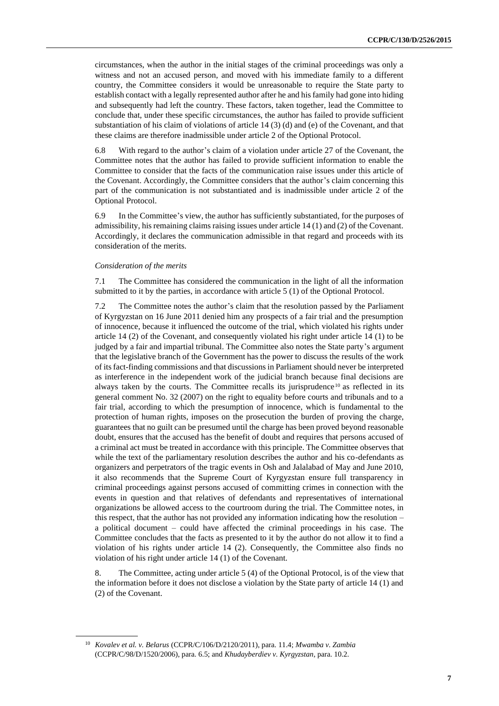circumstances, when the author in the initial stages of the criminal proceedings was only a witness and not an accused person, and moved with his immediate family to a different country, the Committee considers it would be unreasonable to require the State party to establish contact with a legally represented author after he and his family had gone into hiding and subsequently had left the country. These factors, taken together, lead the Committee to conclude that, under these specific circumstances, the author has failed to provide sufficient substantiation of his claim of violations of article 14 (3) (d) and (e) of the Covenant, and that these claims are therefore inadmissible under article 2 of the Optional Protocol.

6.8 With regard to the author's claim of a violation under article 27 of the Covenant, the Committee notes that the author has failed to provide sufficient information to enable the Committee to consider that the facts of the communication raise issues under this article of the Covenant. Accordingly, the Committee considers that the author's claim concerning this part of the communication is not substantiated and is inadmissible under article 2 of the Optional Protocol.

6.9 In the Committee's view, the author has sufficiently substantiated, for the purposes of admissibility, his remaining claims raising issues under article 14 (1) and (2) of the Covenant. Accordingly, it declares the communication admissible in that regard and proceeds with its consideration of the merits.

#### *Consideration of the merits*

7.1 The Committee has considered the communication in the light of all the information submitted to it by the parties, in accordance with article 5 (1) of the Optional Protocol.

7.2 The Committee notes the author's claim that the resolution passed by the Parliament of Kyrgyzstan on 16 June 2011 denied him any prospects of a fair trial and the presumption of innocence, because it influenced the outcome of the trial, which violated his rights under article 14 (2) of the Covenant, and consequently violated his right under article 14 (1) to be judged by a fair and impartial tribunal. The Committee also notes the State party's argument that the legislative branch of the Government has the power to discuss the results of the work of its fact-finding commissions and that discussions in Parliament should never be interpreted as interference in the independent work of the judicial branch because final decisions are always taken by the courts. The Committee recalls its jurisprudence  $10$  as reflected in its general comment No. 32 (2007) on the right to equality before courts and tribunals and to a fair trial, according to which the presumption of innocence, which is fundamental to the protection of human rights, imposes on the prosecution the burden of proving the charge, guarantees that no guilt can be presumed until the charge has been proved beyond reasonable doubt, ensures that the accused has the benefit of doubt and requires that persons accused of a criminal act must be treated in accordance with this principle. The Committee observes that while the text of the parliamentary resolution describes the author and his co-defendants as organizers and perpetrators of the tragic events in Osh and Jalalabad of May and June 2010, it also recommends that the Supreme Court of Kyrgyzstan ensure full transparency in criminal proceedings against persons accused of committing crimes in connection with the events in question and that relatives of defendants and representatives of international organizations be allowed access to the courtroom during the trial. The Committee notes, in this respect, that the author has not provided any information indicating how the resolution  $$ a political document – could have affected the criminal proceedings in his case. The Committee concludes that the facts as presented to it by the author do not allow it to find a violation of his rights under article 14 (2). Consequently, the Committee also finds no violation of his right under article 14 (1) of the Covenant.

8. The Committee, acting under article 5 (4) of the Optional Protocol, is of the view that the information before it does not disclose a violation by the State party of article 14 (1) and (2) of the Covenant.

<sup>10</sup> *Kovalev et al. v. Belarus* (CCPR/C/106/D/2120/2011), para. 11.4; *Mwamba v. Zambia*  (CCPR/C/98/D/1520/2006), para. 6.5; and *Khudayberdiev v*. *Kyrgyzstan*, para. 10.2.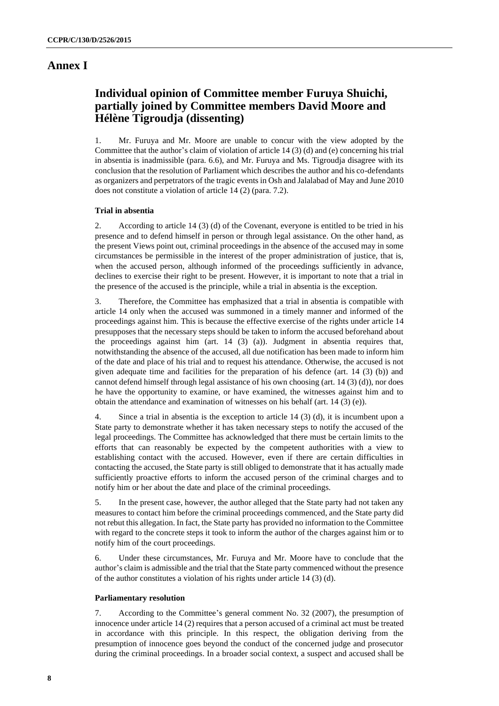### **Annex I**

### **Individual opinion of Committee member Furuya Shuichi, partially joined by Committee members David Moore and Hélène Tigroudja (dissenting)**

1. Mr. Furuya and Mr. Moore are unable to concur with the view adopted by the Committee that the author's claim of violation of article 14 (3) (d) and (e) concerning his trial in absentia is inadmissible (para. 6.6), and Mr. Furuya and Ms. Tigroudja disagree with its conclusion that the resolution of Parliament which describes the author and his co-defendants as organizers and perpetrators of the tragic events in Osh and Jalalabad of May and June 2010 does not constitute a violation of article 14 (2) (para. 7.2).

#### **Trial in absentia**

2. According to article 14 (3) (d) of the Covenant, everyone is entitled to be tried in his presence and to defend himself in person or through legal assistance. On the other hand, as the present Views point out, criminal proceedings in the absence of the accused may in some circumstances be permissible in the interest of the proper administration of justice, that is, when the accused person, although informed of the proceedings sufficiently in advance, declines to exercise their right to be present. However, it is important to note that a trial in the presence of the accused is the principle, while a trial in absentia is the exception.

3. Therefore, the Committee has emphasized that a trial in absentia is compatible with article 14 only when the accused was summoned in a timely manner and informed of the proceedings against him. This is because the effective exercise of the rights under article 14 presupposes that the necessary steps should be taken to inform the accused beforehand about the proceedings against him (art. 14 (3) (a)). Judgment in absentia requires that, notwithstanding the absence of the accused, all due notification has been made to inform him of the date and place of his trial and to request his attendance. Otherwise, the accused is not given adequate time and facilities for the preparation of his defence (art. 14 (3) (b)) and cannot defend himself through legal assistance of his own choosing (art. 14 (3) (d)), nor does he have the opportunity to examine, or have examined, the witnesses against him and to obtain the attendance and examination of witnesses on his behalf (art. 14 (3) (e)).

4. Since a trial in absentia is the exception to article 14 (3) (d), it is incumbent upon a State party to demonstrate whether it has taken necessary steps to notify the accused of the legal proceedings. The Committee has acknowledged that there must be certain limits to the efforts that can reasonably be expected by the competent authorities with a view to establishing contact with the accused. However, even if there are certain difficulties in contacting the accused, the State party is still obliged to demonstrate that it has actually made sufficiently proactive efforts to inform the accused person of the criminal charges and to notify him or her about the date and place of the criminal proceedings.

5. In the present case, however, the author alleged that the State party had not taken any measures to contact him before the criminal proceedings commenced, and the State party did not rebut this allegation. In fact, the State party has provided no information to the Committee with regard to the concrete steps it took to inform the author of the charges against him or to notify him of the court proceedings.

6. Under these circumstances, Mr. Furuya and Mr. Moore have to conclude that the author's claim is admissible and the trial that the State party commenced without the presence of the author constitutes a violation of his rights under article 14 (3) (d).

#### **Parliamentary resolution**

7. According to the Committee's general comment No. 32 (2007), the presumption of innocence under article 14 (2) requires that a person accused of a criminal act must be treated in accordance with this principle. In this respect, the obligation deriving from the presumption of innocence goes beyond the conduct of the concerned judge and prosecutor during the criminal proceedings. In a broader social context, a suspect and accused shall be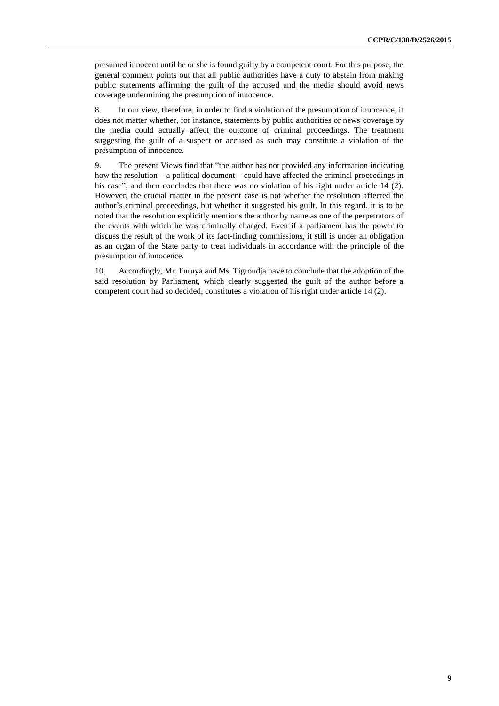presumed innocent until he or she is found guilty by a competent court. For this purpose, the general comment points out that all public authorities have a duty to abstain from making public statements affirming the guilt of the accused and the media should avoid news coverage undermining the presumption of innocence.

8. In our view, therefore, in order to find a violation of the presumption of innocence, it does not matter whether, for instance, statements by public authorities or news coverage by the media could actually affect the outcome of criminal proceedings. The treatment suggesting the guilt of a suspect or accused as such may constitute a violation of the presumption of innocence.

9. The present Views find that "the author has not provided any information indicating how the resolution – a political document – could have affected the criminal proceedings in his case", and then concludes that there was no violation of his right under article 14 (2). However, the crucial matter in the present case is not whether the resolution affected the author's criminal proceedings, but whether it suggested his guilt. In this regard, it is to be noted that the resolution explicitly mentions the author by name as one of the perpetrators of the events with which he was criminally charged. Even if a parliament has the power to discuss the result of the work of its fact-finding commissions, it still is under an obligation as an organ of the State party to treat individuals in accordance with the principle of the presumption of innocence.

10. Accordingly, Mr. Furuya and Ms. Tigroudja have to conclude that the adoption of the said resolution by Parliament, which clearly suggested the guilt of the author before a competent court had so decided, constitutes a violation of his right under article 14 (2).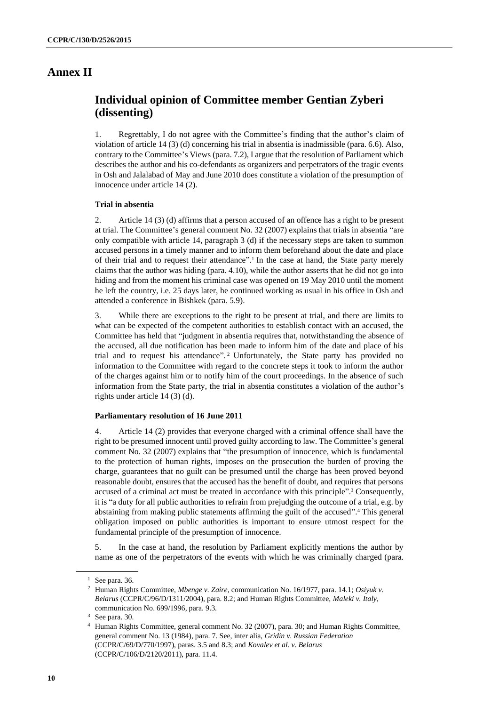### **Annex II**

### **Individual opinion of Committee member Gentian Zyberi (dissenting)**

1. Regrettably, I do not agree with the Committee's finding that the author's claim of violation of article 14 (3) (d) concerning his trial in absentia is inadmissible (para. 6.6). Also, contrary to the Committee's Views (para. 7.2), I argue that the resolution of Parliament which describes the author and his co-defendants as organizers and perpetrators of the tragic events in Osh and Jalalabad of May and June 2010 does constitute a violation of the presumption of innocence under article 14 (2).

#### **Trial in absentia**

2. Article 14 (3) (d) affirms that a person accused of an offence has a right to be present at trial. The Committee's general comment No. 32 (2007) explains that trials in absentia "are only compatible with article 14, paragraph 3 (d) if the necessary steps are taken to summon accused persons in a timely manner and to inform them beforehand about the date and place of their trial and to request their attendance". 1 In the case at hand, the State party merely claims that the author was hiding (para. 4.10), while the author asserts that he did not go into hiding and from the moment his criminal case was opened on 19 May 2010 until the moment he left the country, i.e. 25 days later, he continued working as usual in his office in Osh and attended a conference in Bishkek (para. 5.9).

3. While there are exceptions to the right to be present at trial, and there are limits to what can be expected of the competent authorities to establish contact with an accused, the Committee has held that "judgment in absentia requires that, notwithstanding the absence of the accused, all due notification has been made to inform him of the date and place of his trial and to request his attendance". <sup>2</sup> Unfortunately, the State party has provided no information to the Committee with regard to the concrete steps it took to inform the author of the charges against him or to notify him of the court proceedings. In the absence of such information from the State party, the trial in absentia constitutes a violation of the author's rights under article 14 (3) (d).

#### **Parliamentary resolution of 16 June 2011**

4. Article 14 (2) provides that everyone charged with a criminal offence shall have the right to be presumed innocent until proved guilty according to law. The Committee's general comment No. 32 (2007) explains that "the presumption of innocence, which is fundamental to the protection of human rights, imposes on the prosecution the burden of proving the charge, guarantees that no guilt can be presumed until the charge has been proved beyond reasonable doubt, ensures that the accused has the benefit of doubt, and requires that persons accused of a criminal act must be treated in accordance with this principle". <sup>3</sup> Consequently, it is "a duty for all public authorities to refrain from prejudging the outcome of a trial, e.g. by abstaining from making public statements affirming the guilt of the accused". <sup>4</sup> This general obligation imposed on public authorities is important to ensure utmost respect for the fundamental principle of the presumption of innocence.

5. In the case at hand, the resolution by Parliament explicitly mentions the author by name as one of the perpetrators of the events with which he was criminally charged (para.

 $1$  See para. 36.

<sup>2</sup> Human Rights Committee, *Mbenge v. Zaire*, communication No. 16/1977, para. 14.1; *Osiyuk v. Belarus* (CCPR/C/96/D/1311/2004), para. 8.2; and Human Rights Committee, *Maleki v. Italy*, communication No. 699/1996, para. 9.3.

 $3$  See para. 30.

<sup>4</sup> Human Rights Committee, general comment No. 32 (2007), para. 30; and Human Rights Committee, general comment No. 13 (1984), para. 7. See, inter alia, *Gridin v. Russian Federation* (CCPR/C/69/D/770/1997), paras. 3.5 and 8.3; and *Kovalev et al. v. Belarus*  (CCPR/C/106/D/2120/2011), para. 11.4.